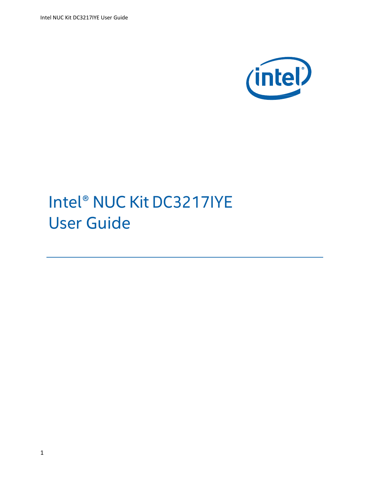Intel NUC Kit DC3217IYE User Guide



# Intel® NUC Kit DC3217IYE User Guide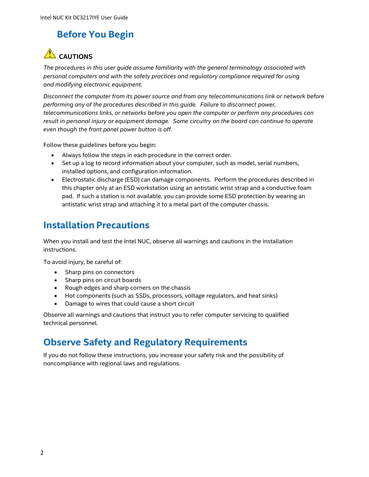#### **Before You Begin**

### **CAUTIONS**

*The procedures in this user guide assume familiarity with the general terminology associated with personal computers and with the safety practices and regulatory compliance required for using and modifying electronic equipment.*

*Disconnect the computer from its power source and from any telecommunications link or network before performing any of the procedures described in this guide. Failure to disconnect power, telecommunications links, or networks before you open the computer or perform any procedures can result in personal injury or equipment damage. Some circuitry on the board can continue to operate even though the front panel power button is off.*

Follow these guidelines before you begin:

- Always follow the steps in each procedure in the correct order.
- Set up a log to record information about your computer, such as model, serial numbers, installed options, and configuration information.
- Electrostatic discharge (ESD) can damage components. Perform the procedures described in this chapter only at an ESD workstation using an antistatic wrist strap and a conductive foam pad. If such a station is not available, you can provide some ESD protection by wearing an antistatic wrist strap and attaching it to a metal part of the computer chassis.

#### **Installation Precautions**

When you install and test the Intel NUC, observe all warnings and cautions in the installation instructions.

To avoid injury, be careful of:

- Sharp pins on connectors
- Sharp pins on circuit boards
- Rough edges and sharp corners on the chassis
- Hot components (such as SSDs, processors, voltage regulators, and heat sinks)
- Damage to wires that could cause a short circuit

Observe all warnings and cautions that instruct you to refer computer servicing to qualified technical personnel.

#### **Observe Safety and Regulatory Requirements**

If you do not follow these instructions, you increase your safety risk and the possibility of noncompliance with regional laws and regulations.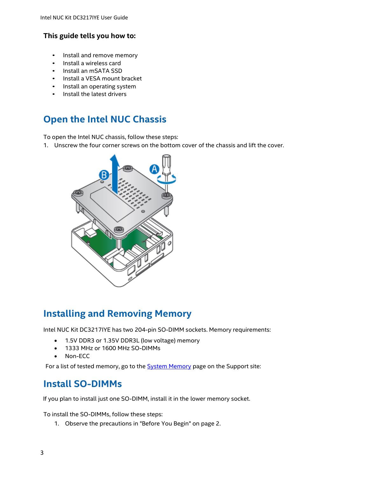#### **This guide tells you how to:**

- Install and remove memory
- Install a wireless card
- Install an mSATA SSD
- Install a VESA mount bracket
- Install an operating system
- Install the latest drivers

#### **Open the Intel NUC Chassis**

To open the Intel NUC chassis, follow these steps:

1. Unscrew the four corner screws on the bottom cover of the chassis and lift the cover.



#### **Installing and Removing Memory**

Intel NUC Kit DC3217IYE has two 204-pin SO-DIMM sockets. Memory requirements:

- 1.5V DDR3 or 1.35V DDR3L (low voltage) memory
- 1333 MHz or 1600 MHz SO-DIMMs
- Non-ECC

For a list of tested memory, go to the **System Memory** page on the Support site:

#### **Install SO-DIMMs**

If you plan to install just one SO-DIMM, install it in the lower memory socket.

To install the SO-DIMMs, follow these steps:

1. Observe the precautions in "Before You Begin" on page 2.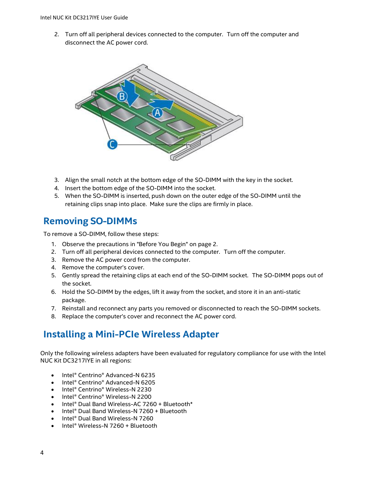2. Turn off all peripheral devices connected to the computer. Turn off the computer and disconnect the AC power cord.



- 3. Align the small notch at the bottom edge of the SO-DIMM with the key in the socket.
- 4. Insert the bottom edge of the SO-DIMM into the socket.
- 5. When the SO-DIMM is inserted, push down on the outer edge of the SO-DIMM until the retaining clips snap into place. Make sure the clips are firmly in place.

#### **Removing SO-DIMMs**

To remove a SO-DIMM, follow these steps:

- 1. Observe the precautions in "Before You Begin" on page 2.
- 2. Turn off all peripheral devices connected to the computer. Turn off the computer.
- 3. Remove the AC power cord from the computer.
- 4. Remove the computer's cover.
- 5. Gently spread the retaining clips at each end of the SO-DIMM socket. The SO-DIMM pops out of the socket.
- 6. Hold the SO-DIMM by the edges, lift it away from the socket, and store it in an anti-static package.
- 7. Reinstall and reconnect any parts you removed or disconnected to reach the SO-DIMM sockets.
- 8. Replace the computer's cover and reconnect the AC power cord.

#### **Installing a Mini-PCIe Wireless Adapter**

Only the following wireless adapters have been evaluated for regulatory compliance for use with the Intel NUC Kit DC3217IYE in all regions:

- Intel® Centrino® Advanced-N 6235
- Intel® Centrino® Advanced-N 6205
- Intel® Centrino® Wireless-N 2230
- Intel® Centrino® Wireless-N 2200
- Intel® Dual Band Wireless-AC 7260 + Bluetooth\*
- Intel® Dual Band Wireless-N 7260 + Bluetooth
- Intel® Dual Band Wireless-N 7260
- Intel® Wireless-N 7260 + Bluetooth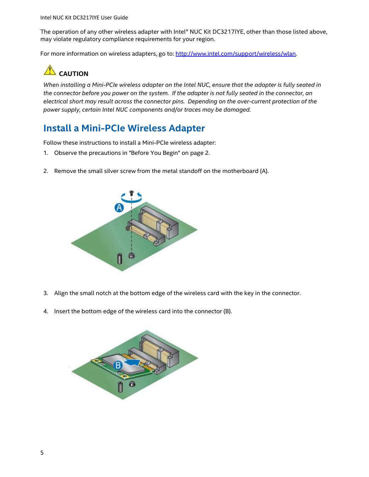The operation of any other wireless adapter with Intel® NUC Kit DC3217IYE, other than those listed above, may violate regulatory compliance requirements for your region.

For more information on wireless adapters, go to: [http://www.intel.com/support/wireless/wlan.](http://www.intel.com/support/wireless/wlan)

## **CAUTION**

*When installing a Mini-PCIe wireless adapter on the Intel NUC, ensure that the adapter is fully seated in the connector before you power on the system. If the adapter is not fully seated in the connector, an electrical short may result across the connector pins. Depending on the over-current protection of the power supply, certain Intel NUC components and/or traces may be damaged.*

#### **Install a Mini-PCIe Wireless Adapter**

Follow these instructions to install a Mini-PCIe wireless adapter:

- 1. Observe the precautions in "Before You Begin" on page 2.
- 2. Remove the small silver screw from the metal standoff on the motherboard (A).



- 3. Align the small notch at the bottom edge of the wireless card with the key in the connector.
- 4. Insert the bottom edge of the wireless card into the connector (B).

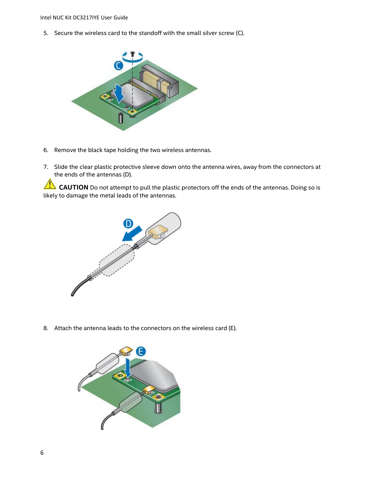5. Secure the wireless card to the standoff with the small silver screw (C).



- 6. Remove the black tape holding the two wireless antennas.
- 7. Slide the clear plastic protective sleeve down onto the antenna wires, away from the connectors at the ends of the antennas (D).

**CAUTION** Do not attempt to pull the plastic protectors off the ends of the antennas. Doing so is likely to damage the metal leads of the antennas.



8. Attach the antenna leads to the connectors on the wireless card (E).

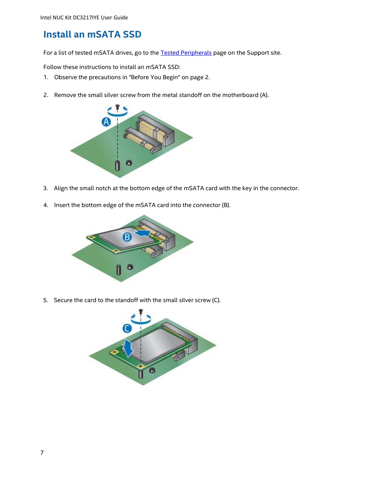#### **Install an mSATA SSD**

For a list of tested mSATA drives, go to the [Tested Peripherals](http://www.intel.com/support/motherboards/desktop/sb/CS-033763.htm) page on the Support site.

Follow these instructions to install an mSATA SSD:

- 1. Observe the precautions in "Before You Begin" on page 2.
- 2. Remove the small silver screw from the metal standoff on the motherboard (A).



- 3. Align the small notch at the bottom edge of the mSATA card with the key in the connector.
- 4. Insert the bottom edge of the mSATA card into the connector (B).



5. Secure the card to the standoff with the small silver screw (C).

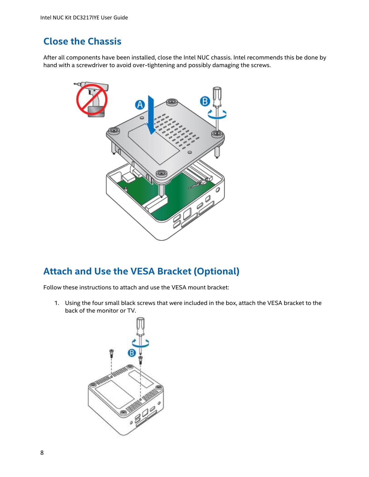#### **Close the Chassis**

After all components have been installed, close the Intel NUC chassis. Intel recommends this be done by hand with a screwdriver to avoid over-tightening and possibly damaging the screws.



#### **Attach and Use the VESA Bracket (Optional)**

Follow these instructions to attach and use the VESA mount bracket:

1. Using the four small black screws that were included in the box, attach the VESA bracket to the back of the monitor or TV.

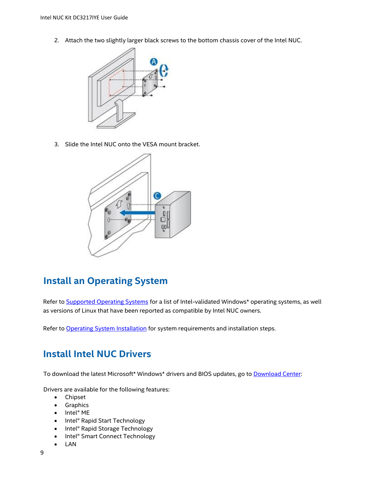2. Attach the two slightly larger black screws to the bottom chassis cover of the Intel NUC.



3. Slide the Intel NUC onto the VESA mount bracket.



#### **Install an Operating System**

Refer t[o Supported Operating Systems](http://www.intel.com/support/motherboards/desktop/sb/CS-034034.htm) for a list of Intel-validated Windows\* operating systems, as well as versions of Linux that have been reported as compatible by Intel NUC owners.

Refer t[o Operating System](http://www.intel.com/support/motherboards/desktop/sb/CS-033935.htm) Installation for system requirements and installation steps.

#### **Install Intel NUC Drivers**

To download the latest Microsoft\* Windows\* drivers and BIOS updates, go to **Download Center**:

Drivers are available for the following features:

- Chipset
- **•** Graphics
- Intel® ME
- Intel® Rapid Start Technology
- Intel® Rapid Storage Technology
- Intel® Smart Connect Technology
- LAN